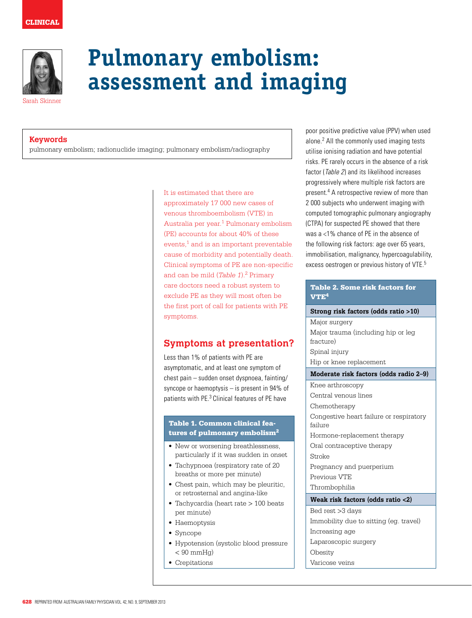

# **Pulmonary embolism: assessment and imaging**

Sarah Skinner

## **Keywords**

pulmonary embolism; radionuclide imaging; pulmonary embolism/radiography

#### It is estimated that there are

approximately 17 000 new cases of venous thromboembolism (VTE) in Australia per year.1 Pulmonary embolism (PE) accounts for about 40% of these events, $1$  and is an important preventable cause of morbidity and potentially death. Clinical symptoms of PE are non-specific and can be mild (*Table 1*).2 Primary care doctors need a robust system to exclude PE as they will most often be the first port of call for patients with PE symptoms.

# **Symptoms at presentation?**

Less than 1% of patients with PE are asymptomatic, and at least one symptom of chest pain – sudden onset dyspnoea, fainting/ syncope or haemoptysis – is present in 94% of patients with PE.3 Clinical features of PE have

## Table 1. Common clinical features of pulmonary embolism2

- New or worsening breathlessness, particularly if it was sudden in onset
- Tachypnoea (respiratory rate of 20 breaths or more per minute)
- Chest pain, which may be pleuritic. or retrosternal and angina-like
- Tachycardia (heart rate > 100 beats per minute)
- • Haemoptysis
- Syncope
- Hypotension (systolic blood pressure  $< 90$  mmHq)
- Crepitations

poor positive predictive value (PPV) when used alone.2 All the commonly used imaging tests utilise ionising radiation and have potential risks. PE rarely occurs in the absence of a risk factor (Table 2) and its likelihood increases progressively where multiple risk factors are present.<sup>4</sup> A retrospective review of more than 2 000 subjects who underwent imaging with computed tomographic pulmonary angiography (CTPA) for suspected PE showed that there was a <1% chance of PE in the absence of the following risk factors: age over 65 years, immobilisation, malignancy, hypercoagulability, excess oestrogen or previous history of VTE.5

## Table 2. Some risk factors for VTE4

#### **Strong risk factors (odds ratio >10)**

Major surgery Major trauma (including hip or leg fracture) Spinal injury Hip or knee replacement

### **Moderate risk factors (odds radio 2–9)**

Knee arthroscopy Central venous lines Chemotherapy Congestive heart failure or respiratory failure Hormone-replacement therapy Oral contraceptive therapy Stroke Pregnancy and puerperium Previous VTE Thrombophilia **Weak risk factors (odds ratio <2)** Bed rest >3 days Immobility due to sitting (eg. travel) Increasing age Laparoscopic surgery Obesity Varicose veins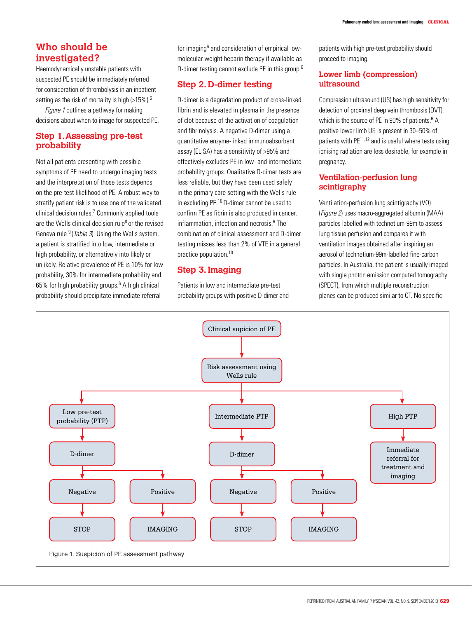# **Who should be investigated?**

Haemodynamically unstable patients with suspected PE should be immediately referred for consideration of thrombolysis in an inpatient setting as the risk of mortality is high (>15%).<sup>6</sup>

Figure 1 outlines a pathway for making decisions about when to image for suspected PE.

## **Step 1. Assessing pre-test probability**

Not all patients presenting with possible symptoms of PE need to undergo imaging tests and the interpretation of those tests depends on the pre-test likelihood of PE. A robust way to stratify patient risk is to use one of the validated clinical decision rules.7 Commonly applied tools are the Wells clinical decision rule $8$  or the revised Geneva rule  $9$  (Table 3). Using the Wells system, a patient is stratified into low, intermediate or high probability, or alternatively into likely or unlikely. Relative prevalence of PE is 10% for low probability, 30% for intermediate probability and 65% for high probability groups.<sup>6</sup> A high clinical probability should precipitate immediate referral

for imaging<sup>6</sup> and consideration of empirical lowmolecular-weight heparin therapy if available as D-dimer testing cannot exclude PE in this group.<sup>6</sup>

## **Step 2. D-dimer testing**

D-dimer is a degradation product of cross-linked fibrin and is elevated in plasma in the presence of clot because of the activation of coagulation and fibrinolysis. A negative D-dimer using a quantitative enzyme-linked immunoabsorbent assay (ELISA) has a sensitivity of >95% and effectively excludes PE in low- and intermediateprobability groups. Qualitative D-dimer tests are less reliable, but they have been used safely in the primary care setting with the Wells rule in excluding PE.10 D-dimer cannot be used to confirm PE as fibrin is also produced in cancer, inflammation, infection and necrosis.<sup>6</sup> The combination of clinical assessment and D-dimer testing misses less than 2% of VTE in a general practice population.10

# **Step 3. Imaging**

Patients in low and intermediate pre-test probability groups with positive D-dimer and patients with high pre-test probability should proceed to imaging.

## **Lower limb (compression) ultrasound**

Compression ultrasound (US) has high sensitivity for detection of proximal deep vein thrombosis (DVT), which is the source of PE in 90% of patients.<sup>6</sup> A positive lower limb US is present in 30–50% of patients with PE11,12 and is useful where tests using ionising radiation are less desirable, for example in pregnancy.

## **Ventilation-perfusion lung scintigraphy**

Ventilation-perfusion lung scintigraphy (VQ) (Figure 2) uses macro-aggregated albumin (MAA) particles labelled with technetium-99m to assess lung tissue perfusion and compares it with ventilation images obtained after inspiring an aerosol of technetium-99m-labelled fine-carbon particles. In Australia, the patient is usually imaged with single photon emission computed tomography (SPECT), from which multiple reconstruction planes can be produced similar to CT. No specific

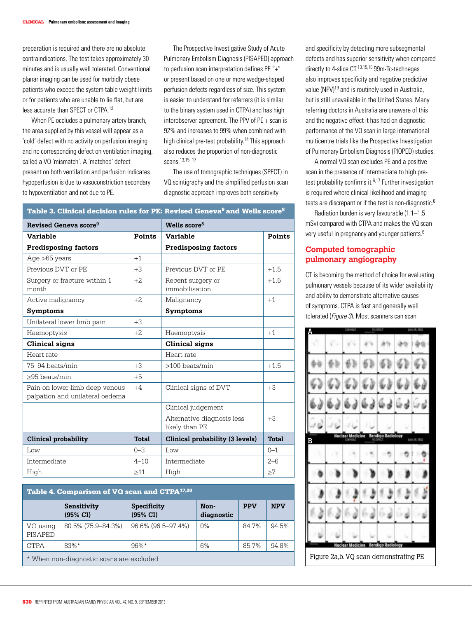preparation is required and there are no absolute contraindications. The test takes approximately 30 minutes and is usually well tolerated. Conventional planar imaging can be used for morbidly obese patients who exceed the system table weight limits or for patients who are unable to lie flat, but are less accurate than SPECT or CTPA.13

When PE occludes a pulmonary artery branch, the area supplied by this vessel will appear as a 'cold' defect with no activity on perfusion imaging and no corresponding defect on ventilation imaging, called a VQ 'mismatch'. A 'matched' defect present on both ventilation and perfusion indicates hypoperfusion is due to vasoconstriction secondary to hypoventilation and not due to PE.

The Prospective Investigative Study of Acute Pulmonary Embolism Diagnosis (PISAPED) approach to perfusion scan interpretation defines PE "+" or present based on one or more wedge-shaped perfusion defects regardless of size. This system is easier to understand for referrers (it is similar to the binary system used in CTPA) and has high interobserver agreement. The PPV of PE + scan is 92% and increases to 99% when combined with high clinical pre-test probability.<sup>14</sup> This approach also reduces the proportion of non-diagnostic scans.13,15–17

The use of tomographic techniques (SPECT) in VQ scintigraphy and the simplified perfusion scan diagnostic approach improves both sensitivity

| Revised Geneva score <sup>9</sup>                                 |           | Wells score <sup>8</sup>                     |          |  |
|-------------------------------------------------------------------|-----------|----------------------------------------------|----------|--|
| <b>Variable</b>                                                   | Points    | <b>Variable</b>                              | Points   |  |
| <b>Predisposing factors</b>                                       |           | <b>Predisposing factors</b>                  |          |  |
| Age $>65$ years                                                   | $+1$      |                                              |          |  |
| Previous DVT or PE                                                | $+3$      | Previous DVT or PE                           | $+1.5$   |  |
| Surgery or fracture within 1<br>month                             | $+2$      | Recent surgery or<br>immobilisation          | $+1.5$   |  |
| Active malignancy                                                 | $+2$      | Malignancy                                   | $+1$     |  |
| <b>Symptoms</b>                                                   |           | <b>Symptoms</b>                              |          |  |
| Unilateral lower limb pain                                        | $+3$      |                                              |          |  |
| Haemoptysis                                                       | $+2$      | Haemoptysis                                  | $+1$     |  |
| Clinical signs                                                    |           | Clinical signs                               |          |  |
| Heart rate                                                        |           | Heart rate                                   |          |  |
| 75-94 beats/min                                                   | $+3$      | $>100$ beats/min                             | $+1.5$   |  |
| >95 beats/min                                                     | $+5$      |                                              |          |  |
| Pain on lower-limb deep venous<br>palpation and unilateral oedema | $+4$      | Clinical signs of DVT                        | $+3$     |  |
|                                                                   |           | Clinical judgement                           |          |  |
|                                                                   |           | Alternative diagnosis less<br>likely than PE | $+3$     |  |
| Clinical probability                                              | Total     | Clinical probability (3 levels)              | Total    |  |
| Low                                                               | $0 - 3$   | Low                                          | $0 - 1$  |  |
| Intermediate                                                      | $4 - 10$  | Intermediate                                 | $2 - 6$  |  |
| High                                                              | $\geq$ 11 | High                                         | $\geq 7$ |  |

#### Table 3. Clinical decision rules for PE: Revised Geneva<sup>9</sup> and Wells score<sup>8</sup>

multicentre trials like the Prospective Investigation of Pulmonary Embolism Diagnosis (PIOPED) studies. A normal VQ scan excludes PE and a positive scan in the presence of intermediate to high pretest probability confirms it.<sup>6,17</sup> Further investigation is required where clinical likelihood and imaging tests are discrepant or if the test is non-diagnostic.<sup>6</sup> Radiation burden is very favourable (1.1–1.5 mSv) compared with CTPA and makes the VQ scan very useful in pregnancy and younger patients.<sup>6</sup> **Computed tomographic pulmonary angiography**

> CT is becoming the method of choice for evaluating pulmonary vessels because of its wider availability and ability to demonstrate alternative causes of symptoms. CTPA is fast and generally well tolerated (Figure 3). Most scanners can scan

and specificity by detecting more subsegmental defects and has superior sensitivity when compared directly to 4-slice CT.13,15,18 99m-Tc-technegas also improves specificity and negative predictive value (NPV)19 and is routinely used in Australia, but is still unavailable in the United States. Many referring doctors in Australia are unaware of this and the negative effect it has had on diagnostic performance of the VQ scan in large international



| Table 4. Comparison of VQ scan and CTPA <sup>17,20</sup> |                                    |                                    |                    |            |            |  |  |  |
|----------------------------------------------------------|------------------------------------|------------------------------------|--------------------|------------|------------|--|--|--|
|                                                          | Sensitivity<br>$(95\% \text{ CI})$ | Specificity<br>$(95\% \text{ CI})$ | Non-<br>diagnostic | <b>PPV</b> | <b>NPV</b> |  |  |  |
| VQ using<br><b>PISAPED</b>                               | 80.5% (75.9–84.3%)                 | 96.6% (96.5-97.4%)                 | 0%                 | 84.7%      | 94.5%      |  |  |  |
| <b>CTPA</b>                                              | $83%$ *                            | $96\%*$                            | 6%                 | 85.7%      | 94.8%      |  |  |  |
| * When non-diagnostic scans are excluded                 |                                    |                                    |                    |            |            |  |  |  |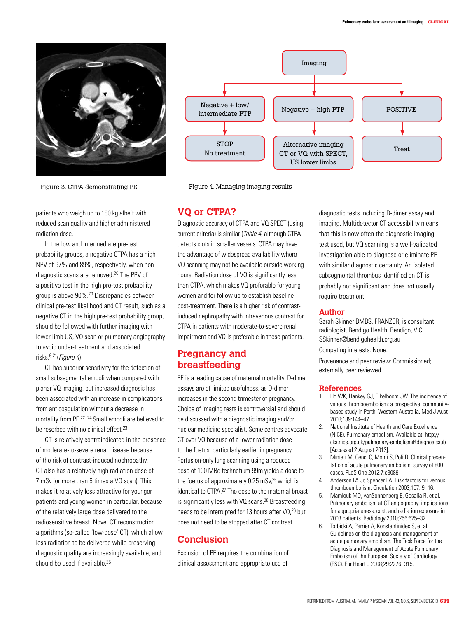



In the low and intermediate pre-test probability groups, a negative CTPA has a high NPV of 97% and 89%, respectively, when nondiagnostic scans are removed.20 The PPV of a positive test in the high pre-test probability group is above 90%.20 Discrepancies between clinical pre-test likelihood and CT result, such as a negative CT in the high pre-test probability group, should be followed with further imaging with lower limb US, VQ scan or pulmonary angiography to avoid under-treatment and associated risks.6,21(Figure 4)

CT has superior sensitivity for the detection of small subsegmental emboli when compared with planar VQ imaging, but increased diagnosis has been associated with an increase in complications from anticoagulation without a decrease in mortality from PE.22–24 Small emboli are believed to be resorbed with no clinical effect.<sup>23</sup>

CT is relatively contraindicated in the presence of moderate-to-severe renal disease because of the risk of contrast-induced nephropathy. CT also has a relatively high radiation dose of 7 mSv (or more than 5 times a VQ scan). This makes it relatively less attractive for younger patients and young women in particular, because of the relatively large dose delivered to the radiosensitive breast. Novel CT reconstruction algorithms (so-called 'low-dose' CT), which allow less radiation to be delivered while preserving diagnostic quality are increasingly available, and should be used if available.<sup>25</sup>



## **VQ or CTPA?**

Diagnostic accuracy of CTPA and VQ SPECT (using current criteria) is similar (Table 4) although CTPA detects clots in smaller vessels. CTPA may have the advantage of widespread availability where VQ scanning may not be available outside working hours. Radiation dose of VQ is significantly less than CTPA, which makes VQ preferable for young women and for follow up to establish baseline post-treatment. There is a higher risk of contrastinduced nephropathy with intravenous contrast for CTPA in patients with moderate-to-severe renal impairment and VQ is preferable in these patients.

# **Pregnancy and breastfeeding**

PE is a leading cause of maternal mortality. D-dimer assays are of limited usefulness, as D-dimer increases in the second trimester of pregnancy. Choice of imaging tests is controversial and should be discussed with a diagnostic imaging and/or nuclear medicine specialist. Some centres advocate CT over VQ because of a lower radiation dose to the foetus, particularly earlier in pregnancy. Perfusion-only lung scanning using a reduced dose of 100 MBq technetium-99m yields a dose to the foetus of approximately 0.25 mSv,<sup>26</sup> which is identical to CTPA.<sup>27</sup> The dose to the maternal breast is significantly less with VQ scans.<sup>28</sup> Breastfeeding needs to be interrupted for 13 hours after VQ,<sup>26</sup> but does not need to be stopped after CT contrast.

# **Conclusion**

Exclusion of PE requires the combination of clinical assessment and appropriate use of

diagnostic tests including D-dimer assay and imaging. Multidetector CT accessibility means that this is now often the diagnostic imaging test used, but VQ scanning is a well-validated investigation able to diagnose or eliminate PE with similar diagnostic certainty. An isolated subsegmental thrombus identified on CT is probably not significant and does not usually require treatment.

### **Author**

Sarah Skinner BMBS, FRANZCR, is consultant radiologist, Bendigo Health, Bendigo, VIC. SSkinner@bendigohealth.org.au Competing interests: None.

Provenance and peer review: Commissioned; externally peer reviewed.

#### **References**

- 1. Ho WK, Hankey GJ, Eikelboom JW. The incidence of venous thromboembolism: a prospective, communitybased study in Perth, Western Australia. Med J Aust 2008;189:144–47.
- 2. National Institute of Health and Care Excellence (NICE). Pulmonary embolism. Available at: http:// cks.nice.org.uk/pulmonary-embolism#!diagnosissub [Accessed 2 August 2013].
- 3. Miniati M, Cenci C, Monti S, Poli D. Clinical presentation of acute pulmonary embolism: survey of 800 cases. PLoS One 2012;7:e30891.
- 4. Anderson FA Jr, Spencer FA. Risk factors for venous thromboembolism. Circulation 2003;107:I9–16.
- 5. Mamlouk MD, vanSonnenberg E, Gosalia R, et al. Pulmonary embolism at CT angiography: implications for appropriateness, cost, and radiation exposure in 2003 patients. Radiology 2010;256:625–32.
- 6. Torbicki A, Perrier A, Konstantinides S, et al. Guidelines on the diagnosis and management of acute pulmonary embolism. The Task Force for the Diagnosis and Management of Acute Pulmonary Embolism of the European Society of Cardiology (ESC). Eur Heart J 2008;29:2276–315.